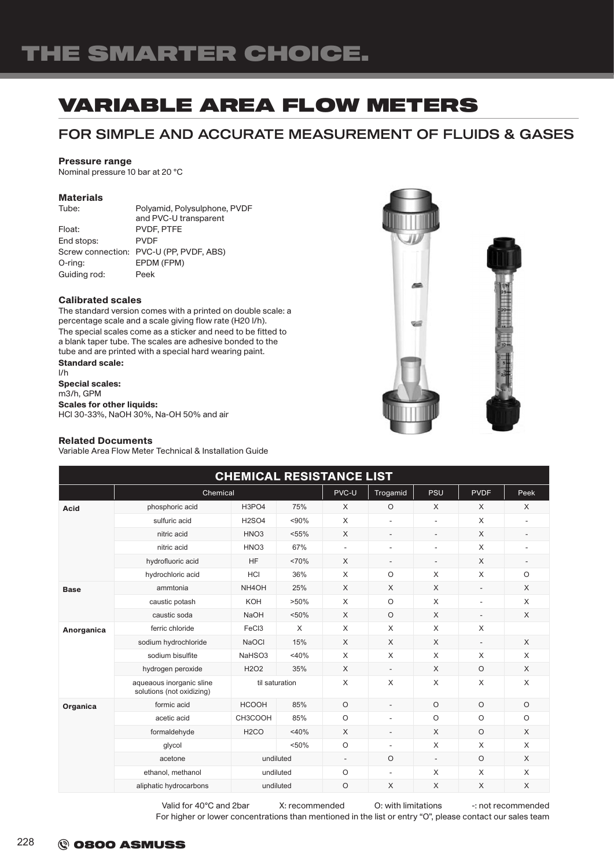## VARIABLE AREA FLOW METERS

### FOR SIMPLE AND ACCURATE MEASUREMENT OF FLUIDS & GASES

#### Pressure range

Nominal pressure 10 bar at 20 °C

### Materials

| PVDF, PTFE                              |
|-----------------------------------------|
| <b>PVDF</b>                             |
| Screw connection: PVC-U (PP, PVDF, ABS) |
| EPDM (FPM)                              |
| Peek                                    |
|                                         |

#### Calibrated scales

The standard version comes with a printed on double scale: a percentage scale and a scale giving flow rate (H20 l/h). The special scales come as a sticker and need to be fitted to a blank taper tube. The scales are adhesive bonded to the tube and are printed with a special hard wearing paint. Standard scale:

l/h Special scales: m3/h, GPM Scales for other liquids: HCl 30-33%, NaOH 30%, Na-OH 50% and air



#### Related Documents

Variable Area Flow Meter Technical & Installation Guide

| <b>CHEMICAL RESISTANCE LIST</b> |                                                       |                               |         |                          |                          |                          |                          |                          |  |
|---------------------------------|-------------------------------------------------------|-------------------------------|---------|--------------------------|--------------------------|--------------------------|--------------------------|--------------------------|--|
|                                 | Chemical                                              |                               |         | PVC-U                    | Trogamid                 | PSU                      | <b>PVDF</b>              | Peek                     |  |
| <b>Acid</b>                     | phosphoric acid                                       | H3PO4                         | 75%     | $\times$                 | $\circ$                  | $\times$                 | X                        | X                        |  |
|                                 | sulfuric acid                                         | <b>H2SO4</b>                  | < 90%   | $\times$                 | $\overline{a}$           | L,                       | X                        | $\overline{\phantom{a}}$ |  |
|                                 | nitric acid                                           | HNO <sub>3</sub>              | < 55%   | $\times$                 | $\overline{\phantom{a}}$ | $\overline{\phantom{a}}$ | X                        | $\overline{\phantom{a}}$ |  |
|                                 | nitric acid                                           | HNO <sub>3</sub>              | 67%     | $\sim$                   | ÷,                       | ä,                       | X                        | $\overline{\phantom{a}}$ |  |
|                                 | hydrofluoric acid                                     | <b>HF</b>                     | <70%    | $\times$                 | ٠                        | $\overline{\phantom{a}}$ | X                        | $\overline{\phantom{a}}$ |  |
|                                 | hydrochloric acid                                     | <b>HCI</b>                    | 36%     | $\times$                 | $\circ$                  | X                        | X                        | $\circ$                  |  |
| <b>Base</b>                     | ammtonia                                              | NH <sub>4</sub> OH            | 25%     | $\times$                 | X                        | $\times$                 | $\overline{\phantom{a}}$ | $\times$                 |  |
|                                 | caustic potash                                        | KOH                           | $>50\%$ | $\times$                 | $\circ$                  | $\times$                 | ٠                        | $\times$                 |  |
|                                 | caustic soda                                          | <b>NaOH</b>                   | < 50%   | $\times$                 | $\circ$                  | X                        | $\overline{\phantom{a}}$ | $\times$                 |  |
| Anorganica                      | ferric chloride                                       | FeC <sub>3</sub>              | X       | $\times$                 | $\times$                 | $\times$                 | X                        |                          |  |
|                                 | sodium hydrochloride                                  | <b>NaOCI</b>                  | 15%     | $\times$                 | X                        | $\times$                 | $\overline{\phantom{m}}$ | X                        |  |
|                                 | sodium bisulfite                                      | NaHSO3                        | $<$ 40% | $\times$                 | X                        | X                        | X                        | $\times$                 |  |
|                                 | hydrogen peroxide                                     | H <sub>2</sub> O <sub>2</sub> | 35%     | $\times$                 | $\frac{1}{2}$            | X                        | $\circ$                  | $\times$                 |  |
|                                 | aqueaous inorganic sline<br>solutions (not oxidizing) | til saturation                |         | $\times$                 | X                        | X                        | X                        | $\times$                 |  |
| Organica                        | formic acid                                           | <b>HCOOH</b>                  | 85%     | $\circ$                  | $\overline{a}$           | $\circ$                  | $\circ$                  | $\circ$                  |  |
|                                 | acetic acid                                           | CH3COOH                       | 85%     | $\circ$                  | ÷,                       | $\circ$                  | $\circ$                  | $\circ$                  |  |
|                                 | formaldehyde                                          | H <sub>2</sub> CO             | $<$ 40% | $\times$                 | $\overline{a}$           | $\times$                 | $\circ$                  | $\times$                 |  |
|                                 | glycol                                                |                               | < 50%   | $\circ$                  | L,                       | $\times$                 | X                        | X                        |  |
|                                 | acetone                                               | undiluted                     |         | $\overline{\phantom{a}}$ | $\circ$                  | $\overline{a}$           | $\circ$                  | $\times$                 |  |
|                                 | ethanol, methanol                                     | undiluted                     |         | $\circ$                  | ٠                        | X                        | X                        | X                        |  |
|                                 | aliphatic hydrocarbons                                | undiluted                     |         | $\circ$                  | X                        | X                        | X                        | $\times$                 |  |

Valid for 40°C and 2bar X: recommended O: with limitations -: not recommended For higher or lower concentrations than mentioned in the list or entry "O", please contact our sales team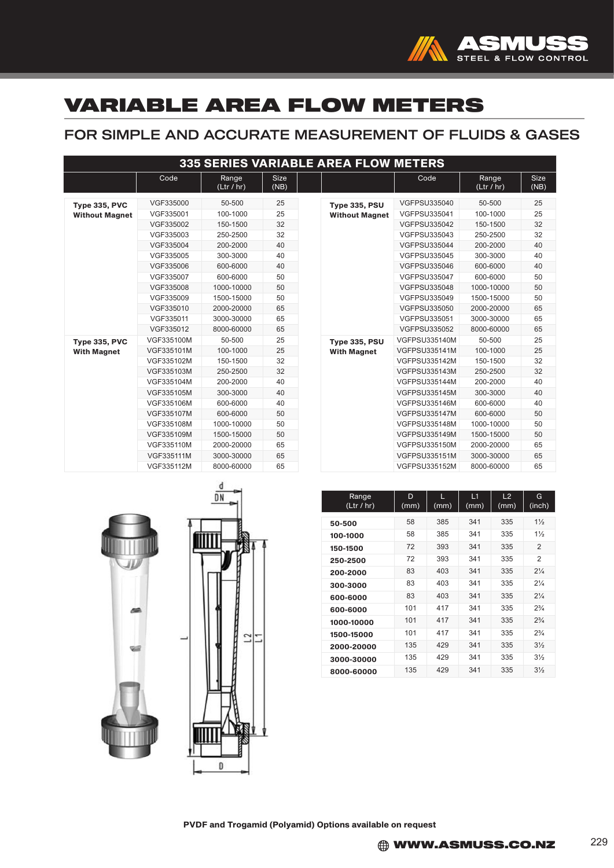

## VARIABLE AREA FLOW METERS

## FOR SIMPLE AND ACCURATE MEASUREMENT OF FLUIDS & GASES

|                       |            |                     |                     |  | <b>335 SERIES VARIABLE AREA FLOW METERS</b> |                      |                     |                     |
|-----------------------|------------|---------------------|---------------------|--|---------------------------------------------|----------------------|---------------------|---------------------|
|                       | Code       | Range<br>(Ltr / hr) | <b>Size</b><br>(NB) |  |                                             | Code                 | Range<br>(Ltr / hr) | <b>Size</b><br>(NB) |
| Type 335, PVC         | VGF335000  | 50-500              | 25                  |  | <b>Type 335, PSU</b>                        | <b>VGFPSU335040</b>  | 50-500              | 25                  |
| <b>Without Magnet</b> | VGF335001  | 100-1000            | 25                  |  | <b>Without Magnet</b>                       | <b>VGFPSU335041</b>  | 100-1000            | 25                  |
|                       | VGF335002  | 150-1500            | 32                  |  |                                             | <b>VGFPSU335042</b>  | 150-1500            | 32                  |
|                       | VGF335003  | 250-2500            | 32                  |  |                                             | <b>VGFPSU335043</b>  | 250-2500            | 32                  |
|                       | VGF335004  | 200-2000            | 40                  |  |                                             | <b>VGFPSU335044</b>  | 200-2000            | 40                  |
|                       | VGF335005  | 300-3000            | 40                  |  |                                             | <b>VGFPSU335045</b>  | 300-3000            | 40                  |
|                       | VGF335006  | 600-6000            | 40                  |  |                                             | <b>VGFPSU335046</b>  | 600-6000            | 40                  |
|                       | VGF335007  | 600-6000            | 50                  |  |                                             | <b>VGFPSU335047</b>  | 600-6000            | 50                  |
|                       | VGF335008  | 1000-10000          | 50                  |  |                                             | <b>VGFPSU335048</b>  | 1000-10000          | 50                  |
|                       | VGF335009  | 1500-15000          | 50                  |  |                                             | VGFPSU335049         | 1500-15000          | 50                  |
|                       | VGF335010  | 2000-20000          | 65                  |  |                                             | <b>VGFPSU335050</b>  | 2000-20000          | 65                  |
|                       | VGF335011  | 3000-30000          | 65                  |  |                                             | <b>VGFPSU335051</b>  | 3000-30000          | 65                  |
|                       | VGF335012  | 8000-60000          | 65                  |  |                                             | <b>VGFPSU335052</b>  | 8000-60000          | 65                  |
| Type 335, PVC         | VGF335100M | 50-500              | 25                  |  | <b>Type 335, PSU</b>                        | <b>VGFPSU335140M</b> | 50-500              | 25                  |
| <b>With Magnet</b>    | VGF335101M | 100-1000            | 25                  |  | <b>With Magnet</b>                          | <b>VGFPSU335141M</b> | 100-1000            | 25                  |
|                       | VGF335102M | 150-1500            | 32                  |  | <b>VGFPSU335142M</b>                        | 150-1500             | 32                  |                     |
|                       | VGF335103M | 250-2500            | 32                  |  |                                             | <b>VGFPSU335143M</b> | 250-2500            | 32                  |
|                       | VGF335104M | 200-2000            | 40                  |  |                                             | <b>VGFPSU335144M</b> | 200-2000            | 40                  |
|                       | VGF335105M | 300-3000            | 40                  |  |                                             | <b>VGFPSU335145M</b> | 300-3000            | 40                  |
|                       | VGF335106M | 600-6000            | 40                  |  |                                             | <b>VGFPSU335146M</b> | 600-6000            | 40                  |
|                       | VGF335107M | 600-6000            | 50                  |  |                                             | <b>VGFPSU335147M</b> | 600-6000            | 50                  |
|                       | VGF335108M | 1000-10000          | 50                  |  |                                             | <b>VGFPSU335148M</b> | 1000-10000          | 50                  |
|                       | VGF335109M | 1500-15000          | 50                  |  |                                             | <b>VGFPSU335149M</b> | 1500-15000          | 50                  |
|                       | VGF335110M | 2000-20000          | 65                  |  |                                             | <b>VGFPSU335150M</b> | 2000-20000          | 65                  |
|                       | VGF335111M | 3000-30000          | 65                  |  |                                             | <b>VGFPSU335151M</b> | 3000-30000          | 65                  |
|                       | VGF335112M | 8000-60000          | 65                  |  |                                             | <b>VGFPSU335152M</b> | 8000-60000          | 65                  |

| Range<br>(Ltr / hr) | D<br>(mm) | L<br>(mm) | L1<br>(mm) | L2<br>(mm) | G<br>(inch)    |
|---------------------|-----------|-----------|------------|------------|----------------|
| 50-500              | 58        | 385       | 341        | 335        | $1\frac{1}{2}$ |
| 100-1000            | 58        | 385       | 341        | 335        | $1\frac{1}{2}$ |
| 150-1500            | 72        | 393       | 341        | 335        | $\mathfrak{p}$ |
| 250-2500            | 72        | 393       | 341        | 335        | $\mathfrak{p}$ |
| 200-2000            | 83        | 403       | 341        | 335        | $2\frac{1}{4}$ |
| 300-3000            | 83        | 403       | 341        | 335        | $2\frac{1}{4}$ |
| 600-6000            | 83        | 403       | 341        | 335        | $2\frac{1}{4}$ |
| 600-6000            | 101       | 417       | 341        | 335        | $2^{3}/$       |
| 1000-10000          | 101       | 417       | 341        | 335        | $2^{3}/_{4}$   |
| 1500-15000          | 101       | 417       | 341        | 335        | $2\frac{3}{4}$ |
| 2000-20000          | 135       | 429       | 341        | 335        | $3\frac{1}{2}$ |
| 3000-30000          | 135       | 429       | 341        | 335        | $3\frac{1}{2}$ |
| 8000-60000          | 135       | 429       | 341        | 335        | $3\frac{1}{2}$ |